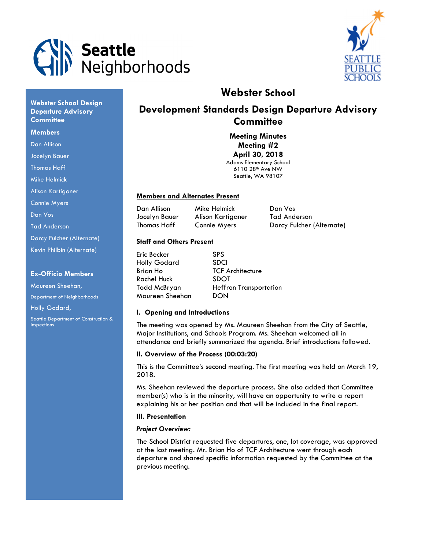



# Webster School

# Development Standards Design Departure Advisory **Committee**

Meeting Minutes Meeting #2 April 30, 2018 Adams Elementary School

6110 28th Ave NW Seattle, WA 98107

## Members and Alternates Present

Dan Allison Mike Helmick Dan Vos Jocelyn Bauer Alison Kartiganer Tad Anderson

Thomas Haff Connie Myers Darcy Fulcher (Alternate)

## Staff and Others Present

| Eric Becker         | <b>SPS</b>                    |
|---------------------|-------------------------------|
| <b>Holly Godard</b> | <b>SDCI</b>                   |
| <b>Brian Ho</b>     | <b>TCF Architecture</b>       |
| <b>Rachel Huck</b>  | <b>SDOT</b>                   |
| Todd McBryan        | <b>Heffron Transportation</b> |
| Maureen Sheehan     | DON                           |

## I. Opening and Introductions

The meeting was opened by Ms. Maureen Sheehan from the City of Seattle, Major Institutions, and Schools Program. Ms. Sheehan welcomed all in attendance and briefly summarized the agenda. Brief introductions followed.

## II. Overview of the Process (00:03:20)

This is the Committee's second meeting. The first meeting was held on March 19, 2018.

Ms. Sheehan reviewed the departure process. She also added that Committee member(s) who is in the minority, will have an opportunity to write a report explaining his or her position and that will be included in the final report.

## III. Presentation

## Project Overview:

The School District requested five departures, one, lot coverage, was approved at the last meeting. Mr. Brian Ho of TCF Architecture went through each departure and shared specific information requested by the Committee at the previous meeting.

## Webster School Design Departure Advisory **Committee**

#### **Members**

- Dan Allison
- Jocelyn Bauer
- Thomas Haff
- Mike Helmick
- Alison Kartiganer
- Connie Myers
- Dan Vos
- Tad Anderson
- Darcy Fulcher (Alternate)
- Kevin Philbin (Alternate)

## Ex-Officio Members

Maureen Sheehan, Department of Neighborhoods Holly Godard, Seattle Department of Construction & **Inspections**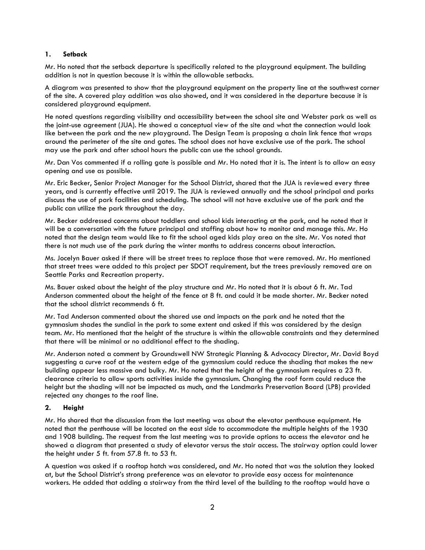## 1. Setback

Mr. Ho noted that the setback departure is specifically related to the playground equipment. The building addition is not in question because it is within the allowable setbacks.

A diagram was presented to show that the playground equipment on the property line at the southwest corner of the site. A covered play addition was also showed, and it was considered in the departure because it is considered playground equipment.

He noted questions regarding visibility and accessibility between the school site and Webster park as well as the joint-use agreement (JUA). He showed a conceptual view of the site and what the connection would look like between the park and the new playground. The Design Team is proposing a chain link fence that wraps around the perimeter of the site and gates. The school does not have exclusive use of the park. The school may use the park and after school hours the public can use the school grounds.

Mr. Dan Vos commented if a rolling gate is possible and Mr. Ho noted that it is. The intent is to allow an easy opening and use as possible.

Mr. Eric Becker, Senior Project Manager for the School District, shared that the JUA is reviewed every three years, and is currently effective until 2019. The JUA is reviewed annually and the school principal and parks discuss the use of park facilities and scheduling. The school will not have exclusive use of the park and the public can utilize the park throughout the day.

Mr. Becker addressed concerns about toddlers and school kids interacting at the park, and he noted that it will be a conversation with the future principal and staffing about how to monitor and manage this. Mr. Ho noted that the design team would like to fit the school aged kids play area on the site. Mr. Vos noted that there is not much use of the park during the winter months to address concerns about interaction.

Ms. Jocelyn Bauer asked if there will be street trees to replace those that were removed. Mr. Ho mentioned that street trees were added to this project per SDOT requirement, but the trees previously removed are on Seattle Parks and Recreation property.

Ms. Bauer asked about the height of the play structure and Mr. Ho noted that it is about 6 ft. Mr. Tad Anderson commented about the height of the fence at 8 ft. and could it be made shorter. Mr. Becker noted that the school district recommends 6 ft.

Mr. Tad Anderson commented about the shared use and impacts on the park and he noted that the gymnasium shades the sundial in the park to some extent and asked if this was considered by the design team. Mr. Ho mentioned that the height of the structure is within the allowable constraints and they determined that there will be minimal or no additional effect to the shading.

Mr. Anderson noted a comment by Groundswell NW Strategic Planning & Advocacy Director, Mr. David Boyd suggesting a curve roof at the western edge of the gymnasium could reduce the shading that makes the new building appear less massive and bulky. Mr. Ho noted that the height of the gymnasium requires a 23 ft. clearance criteria to allow sports activities inside the gymnasium. Changing the roof form could reduce the height but the shading will not be impacted as much, and the Landmarks Preservation Board (LPB) provided rejected any changes to the roof line.

## 2. Height

Mr. Ho shared that the discussion from the last meeting was about the elevator penthouse equipment. He noted that the penthouse will be located on the east side to accommodate the multiple heights of the 1930 and 1908 building. The request from the last meeting was to provide options to access the elevator and he showed a diagram that presented a study of elevator versus the stair access. The stairway option could lower the height under 5 ft. from 57.8 ft. to 53 ft.

A question was asked if a rooftop hatch was considered, and Mr. Ho noted that was the solution they looked at, but the School District's strong preference was an elevator to provide easy access for maintenance workers. He added that adding a stairway from the third level of the building to the rooftop would have a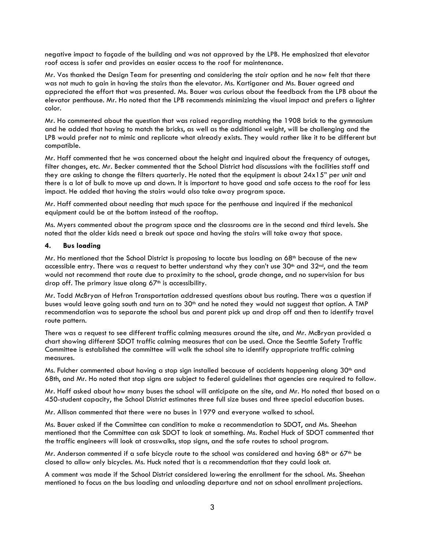negative impact to façade of the building and was not approved by the LPB. He emphasized that elevator roof access is safer and provides an easier access to the roof for maintenance.

Mr. Vos thanked the Design Team for presenting and considering the stair option and he now felt that there was not much to gain in having the stairs than the elevator. Ms. Kartiganer and Ms. Bauer agreed and appreciated the effort that was presented. Ms. Bauer was curious about the feedback from the LPB about the elevator penthouse. Mr. Ho noted that the LPB recommends minimizing the visual impact and prefers a lighter color.

Mr. Ho commented about the question that was raised regarding matching the 1908 brick to the gymnasium and he added that having to match the bricks, as well as the additional weight, will be challenging and the LPB would prefer not to mimic and replicate what already exists. They would rather like it to be different but compatible.

Mr. Haff commented that he was concerned about the height and inquired about the frequency of outages, filter changes, etc. Mr. Becker commented that the School District had discussions with the facilities staff and they are asking to change the filters quarterly. He noted that the equipment is about 24x15" per unit and there is a lot of bulk to move up and down. It is important to have good and safe access to the roof for less impact. He added that having the stairs would also take away program space.

Mr. Haff commented about needing that much space for the penthouse and inquired if the mechanical equipment could be at the bottom instead of the rooftop.

Ms. Myers commented about the program space and the classrooms are in the second and third levels. She noted that the older kids need a break out space and having the stairs will take away that space.

#### 4. Bus loading

Mr. Ho mentioned that the School District is proposing to locate bus loading on 68<sup>th</sup> because of the new accessible entry. There was a request to better understand why they can't use 30<sup>th</sup> and 32<sup>nd</sup>, and the team would not recommend that route due to proximity to the school, grade change, and no supervision for bus drop off. The primary issue along  $67<sup>th</sup>$  is accessibility.

Mr. Todd McBryan of Hefron Transportation addressed questions about bus routing. There was a question if buses would leave going south and turn on to  $30<sup>th</sup>$  and he noted they would not suggest that option. A TMP recommendation was to separate the school bus and parent pick up and drop off and then to identify travel route pattern.

There was a request to see different traffic calming measures around the site, and Mr. McBryan provided a chart showing different SDOT traffic calming measures that can be used. Once the Seattle Safety Traffic Committee is established the committee will walk the school site to identify appropriate traffic calming measures.

Ms. Fulcher commented about having a stop sign installed because of accidents happening along 30<sup>th</sup> and 68th, and Mr. Ho noted that stop signs are subject to federal guidelines that agencies are required to follow.

Mr. Haff asked about how many buses the school will anticipate on the site, and Mr. Ho noted that based on a 450-student capacity, the School District estimates three full size buses and three special education buses.

Mr. Allison commented that there were no buses in 1979 and everyone walked to school.

Ms. Bauer asked if the Committee can condition to make a recommendation to SDOT, and Ms. Sheehan mentioned that the Committee can ask SDOT to look at something. Ms. Rachel Huck of SDOT commented that the traffic engineers will look at crosswalks, stop signs, and the safe routes to school program.

Mr. Anderson commented if a safe bicycle route to the school was considered and having 68<sup>th</sup> or 67<sup>th</sup> be closed to allow only bicycles. Ms. Huck noted that is a recommendation that they could look at.

A comment was made if the School District considered lowering the enrollment for the school. Ms. Sheehan mentioned to focus on the bus loading and unloading departure and not on school enrollment projections.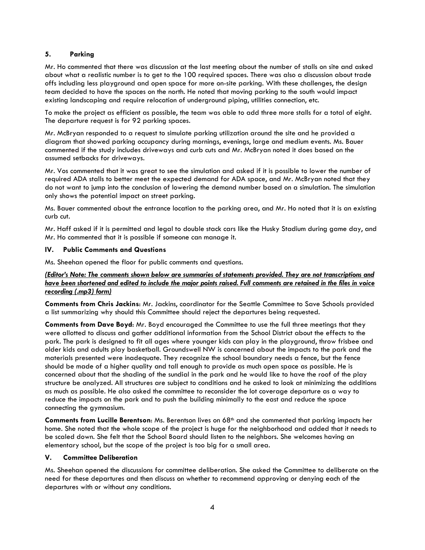## 5. Parking

Mr. Ho commented that there was discussion at the last meeting about the number of stalls on site and asked about what a realistic number is to get to the 100 required spaces. There was also a discussion about trade offs including less playground and open space for more on-site parking. With these challenges, the design team decided to have the spaces on the north. He noted that moving parking to the south would impact existing landscaping and require relocation of underground piping, utilities connection, etc.

To make the project as efficient as possible, the team was able to add three more stalls for a total of eight. The departure request is for 92 parking spaces.

Mr. McBryan responded to a request to simulate parking utilization around the site and he provided a diagram that showed parking occupancy during mornings, evenings, large and medium events. Ms. Bauer commented if the study includes driveways and curb cuts and Mr. McBryan noted it does based on the assumed setbacks for driveways.

Mr. Vos commented that it was great to see the simulation and asked if it is possible to lower the number of required ADA stalls to better meet the expected demand for ADA space, and Mr. McBryan noted that they do not want to jump into the conclusion of lowering the demand number based on a simulation. The simulation only shows the potential impact on street parking.

Ms. Bauer commented about the entrance location to the parking area, and Mr. Ho noted that it is an existing curb cut.

Mr. Haff asked if it is permitted and legal to double stack cars like the Husky Stadium during game day, and Mr. Ho commented that it is possible if someone can manage it.

## IV. Public Comments and Questions

Ms. Sheehan opened the floor for public comments and questions.

## (Editor's Note: The comments shown below are summaries of statements provided. They are not transcriptions and have been shortened and edited to include the major points raised. Full comments are retained in the files in voice recording (.mp3) form)

Comments from Chris Jackins: Mr. Jackins, coordinator for the Seattle Committee to Save Schools provided a list summarizing why should this Committee should reject the departures being requested.

Comments from Dave Boyd: Mr. Boyd encouraged the Committee to use the full three meetings that they were allotted to discuss and gather additional information from the School District about the effects to the park. The park is designed to fit all ages where younger kids can play in the playground, throw frisbee and older kids and adults play basketball. Groundswell NW is concerned about the impacts to the park and the materials presented were inadequate. They recognize the school boundary needs a fence, but the fence should be made of a higher quality and tall enough to provide as much open space as possible. He is concerned about that the shading of the sundial in the park and he would like to have the roof of the play structure be analyzed. All structures are subject to conditions and he asked to look at minimizing the additions as much as possible. He also asked the committee to reconsider the lot coverage departure as a way to reduce the impacts on the park and to push the building minimally to the east and reduce the space connecting the gymnasium.

Comments from Lucille Berentson: Ms. Berentson lives on 68<sup>th</sup> and she commented that parking impacts her home. She noted that the whole scope of the project is huge for the neighborhood and added that it needs to be scaled down. She felt that the School Board should listen to the neighbors. She welcomes having an elementary school, but the scope of the project is too big for a small area.

## V. Committee Deliberation

Ms. Sheehan opened the discussions for committee deliberation. She asked the Committee to deliberate on the need for these departures and then discuss on whether to recommend approving or denying each of the departures with or without any conditions.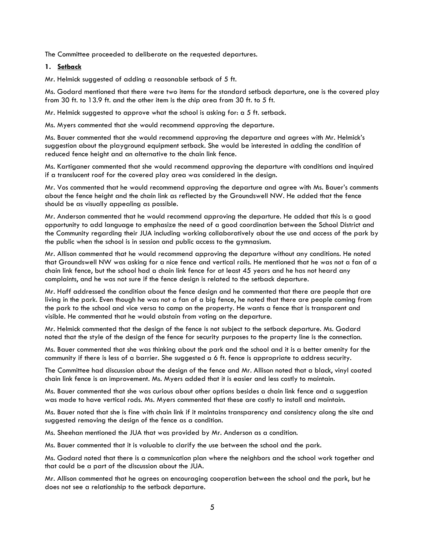The Committee proceeded to deliberate on the requested departures.

## 1. Setback

Mr. Helmick suggested of adding a reasonable setback of 5 ft.

Ms. Godard mentioned that there were two items for the standard setback departure, one is the covered play from 30 ft. to 13.9 ft. and the other item is the chip area from 30 ft. to 5 ft.

Mr. Helmick suggested to approve what the school is asking for: a 5 ft. setback.

Ms. Myers commented that she would recommend approving the departure.

Ms. Bauer commented that she would recommend approving the departure and agrees with Mr. Helmick's suggestion about the playground equipment setback. She would be interested in adding the condition of reduced fence height and an alternative to the chain link fence.

Ms. Kartiganer commented that she would recommend approving the departure with conditions and inquired if a translucent roof for the covered play area was considered in the design.

Mr. Vos commented that he would recommend approving the departure and agree with Ms. Bauer's comments about the fence height and the chain link as reflected by the Groundswell NW. He added that the fence should be as visually appealing as possible.

Mr. Anderson commented that he would recommend approving the departure. He added that this is a good opportunity to add language to emphasize the need of a good coordination between the School District and the Community regarding their JUA including working collaboratively about the use and access of the park by the public when the school is in session and public access to the gymnasium.

Mr. Allison commented that he would recommend approving the departure without any conditions. He noted that Groundswell NW was asking for a nice fence and vertical rails. He mentioned that he was not a fan of a chain link fence, but the school had a chain link fence for at least 45 years and he has not heard any complaints, and he was not sure if the fence design is related to the setback departure.

Mr. Haff addressed the condition about the fence design and he commented that there are people that are living in the park. Even though he was not a fan of a big fence, he noted that there are people coming from the park to the school and vice versa to camp on the property. He wants a fence that is transparent and visible. He commented that he would abstain from voting on the departure.

Mr. Helmick commented that the design of the fence is not subject to the setback departure. Ms. Godard noted that the style of the design of the fence for security purposes to the property line is the connection.

Ms. Bauer commented that she was thinking about the park and the school and it is a better amenity for the community if there is less of a barrier. She suggested a 6 ft. fence is appropriate to address security.

The Committee had discussion about the design of the fence and Mr. Allison noted that a black, vinyl coated chain link fence is an improvement. Ms. Myers added that it is easier and less costly to maintain.

Ms. Bauer commented that she was curious about other options besides a chain link fence and a suggestion was made to have vertical rods. Ms. Myers commented that these are costly to install and maintain.

Ms. Bauer noted that she is fine with chain link if it maintains transparency and consistency along the site and suggested removing the design of the fence as a condition.

Ms. Sheehan mentioned the JUA that was provided by Mr. Anderson as a condition.

Ms. Bauer commented that it is valuable to clarify the use between the school and the park.

Ms. Godard noted that there is a communication plan where the neighbors and the school work together and that could be a part of the discussion about the JUA.

Mr. Allison commented that he agrees on encouraging cooperation between the school and the park, but he does not see a relationship to the setback departure.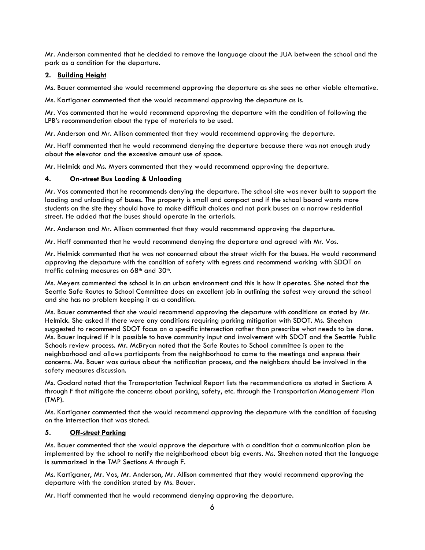Mr. Anderson commented that he decided to remove the language about the JUA between the school and the park as a condition for the departure.

## 2. Building Height

Ms. Bauer commented she would recommend approving the departure as she sees no other viable alternative.

Ms. Kartiganer commented that she would recommend approving the departure as is.

Mr. Vos commented that he would recommend approving the departure with the condition of following the LPB's recommendation about the type of materials to be used.

Mr. Anderson and Mr. Allison commented that they would recommend approving the departure.

Mr. Haff commented that he would recommend denying the departure because there was not enough study about the elevator and the excessive amount use of space.

Mr. Helmick and Ms. Myers commented that they would recommend approving the departure.

## 4. On-street Bus Loading & Unloading

Mr. Vos commented that he recommends denying the departure. The school site was never built to support the loading and unloading of buses. The property is small and compact and if the school board wants more students on the site they should have to make difficult choices and not park buses on a narrow residential street. He added that the buses should operate in the arterials.

Mr. Anderson and Mr. Allison commented that they would recommend approving the departure.

Mr. Haff commented that he would recommend denying the departure and agreed with Mr. Vos.

Mr. Helmick commented that he was not concerned about the street width for the buses. He would recommend approving the departure with the condition of safety with egress and recommend working with SDOT on traffic calming measures on 68<sup>th</sup> and 30<sup>th</sup>.

Ms. Meyers commented the school is in an urban environment and this is how it operates. She noted that the Seattle Safe Routes to School Committee does an excellent job in outlining the safest way around the school and she has no problem keeping it as a condition.

Ms. Bauer commented that she would recommend approving the departure with conditions as stated by Mr. Helmick. She asked if there were any conditions requiring parking mitigation with SDOT. Ms. Sheehan suggested to recommend SDOT focus on a specific intersection rather than prescribe what needs to be done. Ms. Bauer inquired if it is possible to have community input and involvement with SDOT and the Seattle Public Schools review process. Mr. McBryan noted that the Safe Routes to School committee is open to the neighborhood and allows participants from the neighborhood to come to the meetings and express their concerns. Ms. Bauer was curious about the notification process, and the neighbors should be involved in the safety measures discussion.

Ms. Godard noted that the Transportation Technical Report lists the recommendations as stated in Sections A through F that mitigate the concerns about parking, safety, etc. through the Transportation Management Plan (TMP).

Ms. Kartiganer commented that she would recommend approving the departure with the condition of focusing on the intersection that was stated.

## 5. Off-street Parking

Ms. Bauer commented that she would approve the departure with a condition that a communication plan be implemented by the school to notify the neighborhood about big events. Ms. Sheehan noted that the language is summarized in the TMP Sections A through F.

Ms. Kartiganer, Mr. Vos, Mr. Anderson, Mr. Allison commented that they would recommend approving the departure with the condition stated by Ms. Bauer.

Mr. Haff commented that he would recommend denying approving the departure.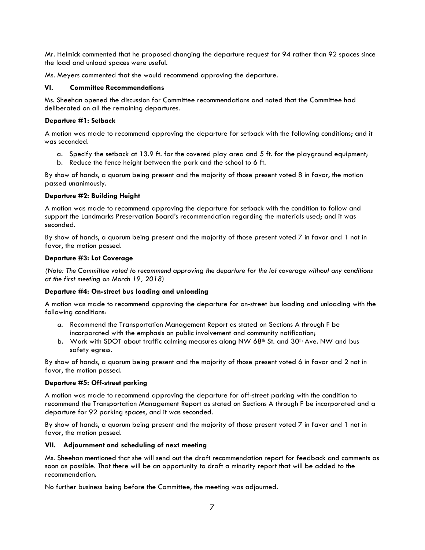Mr. Helmick commented that he proposed changing the departure request for 94 rather than 92 spaces since the load and unload spaces were useful.

Ms. Meyers commented that she would recommend approving the departure.

#### VI. Committee Recommendations

Ms. Sheehan opened the discussion for Committee recommendations and noted that the Committee had deliberated on all the remaining departures.

#### Departure #1: Setback

 A motion was made to recommend approving the departure for setback with the following conditions; and it was seconded.

- a. Specify the setback at 13.9 ft. for the covered play area and 5 ft. for the playground equipment;
- b. Reduce the fence height between the park and the school to 6 ft.

By show of hands, a quorum being present and the majority of those present voted 8 in favor, the motion passed unanimously.

## Departure #2: Building Height

A motion was made to recommend approving the departure for setback with the condition to follow and support the Landmarks Preservation Board's recommendation regarding the materials used; and it was seconded.

By show of hands, a quorum being present and the majority of those present voted 7 in favor and 1 not in favor, the motion passed.

#### Departure #3: Lot Coverage

(Note: The Committee voted to recommend approving the departure for the lot coverage without any conditions at the first meeting on March 19, 2018)

#### Departure #4: On-street bus loading and unloading

A motion was made to recommend approving the departure for on-street bus loading and unloading with the following conditions:

- a. Recommend the Transportation Management Report as stated on Sections A through F be incorporated with the emphasis on public involvement and community notification;
- b. Work with SDOT about traffic calming measures along NW 68<sup>th</sup> St. and  $30<sup>th</sup>$  Ave. NW and bus safety egress.

By show of hands, a quorum being present and the majority of those present voted 6 in favor and 2 not in favor, the motion passed.

## Departure #5: Off-street parking

A motion was made to recommend approving the departure for off-street parking with the condition to recommend the Transportation Management Report as stated on Sections A through F be incorporated and a departure for 92 parking spaces, and it was seconded.

By show of hands, a quorum being present and the majority of those present voted 7 in favor and 1 not in favor, the motion passed.

## VII. Adjournment and scheduling of next meeting

Ms. Sheehan mentioned that she will send out the draft recommendation report for feedback and comments as soon as possible. That there will be an opportunity to draft a minority report that will be added to the recommendation.

No further business being before the Committee, the meeting was adjourned.